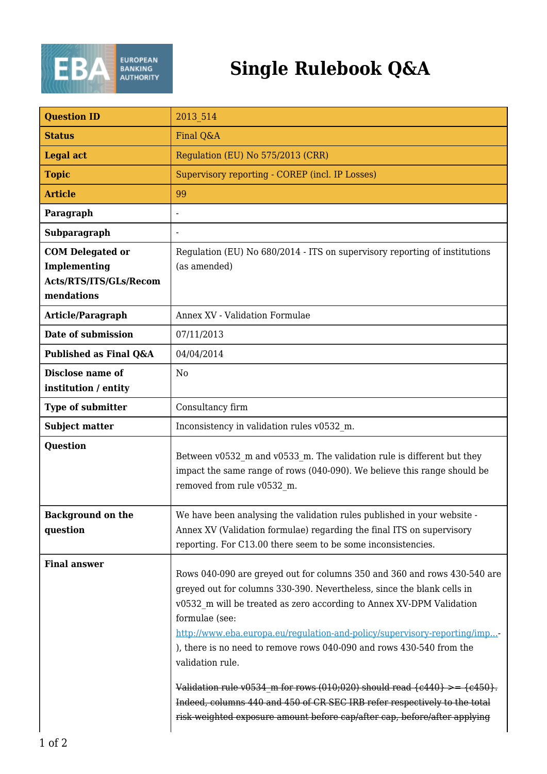

## **Single Rulebook Q&A**

| <b>Question ID</b>                                                                     | 2013 514                                                                                                                                                                                                                                                                                                                                                                                                                                                                                                                                                                                                                                                                 |
|----------------------------------------------------------------------------------------|--------------------------------------------------------------------------------------------------------------------------------------------------------------------------------------------------------------------------------------------------------------------------------------------------------------------------------------------------------------------------------------------------------------------------------------------------------------------------------------------------------------------------------------------------------------------------------------------------------------------------------------------------------------------------|
| <b>Status</b>                                                                          | Final Q&A                                                                                                                                                                                                                                                                                                                                                                                                                                                                                                                                                                                                                                                                |
| <b>Legal act</b>                                                                       | Regulation (EU) No 575/2013 (CRR)                                                                                                                                                                                                                                                                                                                                                                                                                                                                                                                                                                                                                                        |
| <b>Topic</b>                                                                           | Supervisory reporting - COREP (incl. IP Losses)                                                                                                                                                                                                                                                                                                                                                                                                                                                                                                                                                                                                                          |
| <b>Article</b>                                                                         | 99                                                                                                                                                                                                                                                                                                                                                                                                                                                                                                                                                                                                                                                                       |
| Paragraph                                                                              |                                                                                                                                                                                                                                                                                                                                                                                                                                                                                                                                                                                                                                                                          |
| Subparagraph                                                                           |                                                                                                                                                                                                                                                                                                                                                                                                                                                                                                                                                                                                                                                                          |
| <b>COM Delegated or</b><br><b>Implementing</b><br>Acts/RTS/ITS/GLs/Recom<br>mendations | Regulation (EU) No 680/2014 - ITS on supervisory reporting of institutions<br>(as amended)                                                                                                                                                                                                                                                                                                                                                                                                                                                                                                                                                                               |
| Article/Paragraph                                                                      | <b>Annex XV - Validation Formulae</b>                                                                                                                                                                                                                                                                                                                                                                                                                                                                                                                                                                                                                                    |
| Date of submission                                                                     | 07/11/2013                                                                                                                                                                                                                                                                                                                                                                                                                                                                                                                                                                                                                                                               |
| Published as Final Q&A                                                                 | 04/04/2014                                                                                                                                                                                                                                                                                                                                                                                                                                                                                                                                                                                                                                                               |
| <b>Disclose name of</b><br>institution / entity                                        | N <sub>0</sub>                                                                                                                                                                                                                                                                                                                                                                                                                                                                                                                                                                                                                                                           |
| <b>Type of submitter</b>                                                               | Consultancy firm                                                                                                                                                                                                                                                                                                                                                                                                                                                                                                                                                                                                                                                         |
| <b>Subject matter</b>                                                                  | Inconsistency in validation rules v0532_m.                                                                                                                                                                                                                                                                                                                                                                                                                                                                                                                                                                                                                               |
| <b>Question</b>                                                                        | Between v0532_m and v0533_m. The validation rule is different but they<br>impact the same range of rows (040-090). We believe this range should be<br>removed from rule v0532 m.                                                                                                                                                                                                                                                                                                                                                                                                                                                                                         |
| <b>Background on the</b><br>question                                                   | We have been analysing the validation rules published in your website -<br>Annex XV (Validation formulae) regarding the final ITS on supervisory<br>reporting. For C13.00 there seem to be some inconsistencies.                                                                                                                                                                                                                                                                                                                                                                                                                                                         |
| <b>Final answer</b>                                                                    | Rows 040-090 are greyed out for columns 350 and 360 and rows 430-540 are<br>greyed out for columns 330-390. Nevertheless, since the blank cells in<br>v0532 m will be treated as zero according to Annex XV-DPM Validation<br>formulae (see:<br>http://www.eba.europa.eu/regulation-and-policy/supervisory-reporting/imp<br>), there is no need to remove rows 040-090 and rows 430-540 from the $\,$<br>validation rule.<br>Validation rule v0534 m for rows (010;020) should read $\{c440\}$ >= $\{c450\}$ .<br>Indeed, columns 440 and 450 of CR SEC IRB refer respectively to the total<br>risk-weighted exposure amount before cap/after cap, before/after applying |